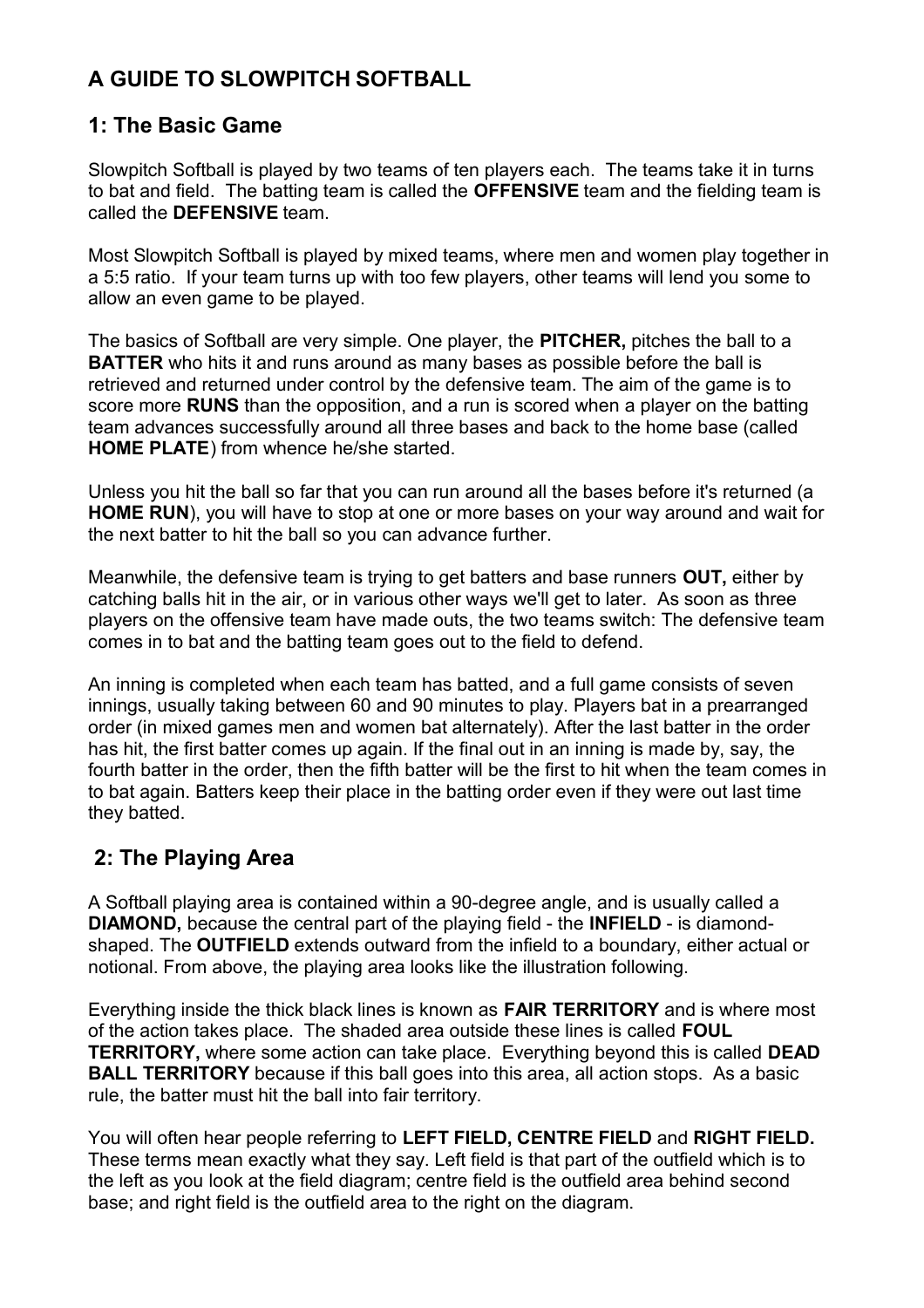# **A GUIDE TO SLOWPITCH SOFTBALL**

# **1: The Basic Game**

Slowpitch Softball is played by two teams of ten players each. The teams take it in turns to bat and field. The batting team is called the **OFFENSIVE** team and the fielding team is called the **DEFENSIVE** team.

Most Slowpitch Softball is played by mixed teams, where men and women play together in a 5:5 ratio. If your team turns up with too few players, other teams will lend you some to allow an even game to be played.

The basics of Softball are very simple. One player, the **PITCHER,** pitches the ball to a **BATTER** who hits it and runs around as many bases as possible before the ball is retrieved and returned under control by the defensive team. The aim of the game is to score more **RUNS** than the opposition, and a run is scored when a player on the batting team advances successfully around all three bases and back to the home base (called **HOME PLATE**) from whence he/she started.

Unless you hit the ball so far that you can run around all the bases before it's returned (a **HOME RUN**), you will have to stop at one ormore bases on your way around and wait for the next batter to hit the ball so you can advance further.

Meanwhile, the defensive team is trying to get batters and base runners **OUT,** either by catching balls hit in the air, or in various other ways we'll get to later. As soon as three players on the offensive team have made outs, the two teams switch: The defensive team comes in to bat and the batting team goes out to the field to defend.

An inning is completed when each team has batted, and a full game consists of seven innings, usually taking between 60 and 90 minutes to play. Players bat in a prearranged order (in mixed games men and women bat alternately). After the last batter in the order has hit, the first batter comes up again. If the final out in an inning is made by, say, the fourth batter in the order, then the fifth batter will be the first to hit when the team comes in to bat again. Batters keep their place in the batting order even if they were out last time they batted.

## **2: The Playing Area**

A Softball playing area is contained within a 90-degree angle, and is usually called a **DIAMOND,** because the central part of the playing field - the **INFIELD** - is diamond shaped. The **OUTFIELD** extends outward from the infield to a boundary, either actual or notional. From above, the playing area looks like the illustration following.

Everything inside the thick black lines is known as **FAIR TERRITORY** and is where most of the action takes place. The shaded area outside these lines is called **FOUL TERRITORY,** where some action can take place. Everything beyond this is called **DEAD BALL TERRITORY** because if this ball goes into this area, all action stops. As a basic rule, the batter must hit the ball into fair territory.

You will often hear people referring to **LEFT FIELD, CENTRE FIELD** and **RIGHT FIELD.** These terms mean exactly what they say. Left field is that part of the outfield which is to the left as you look at the field diagram; centre field is the outfield area behind second base; and right field is the outfield area to the right on the diagram.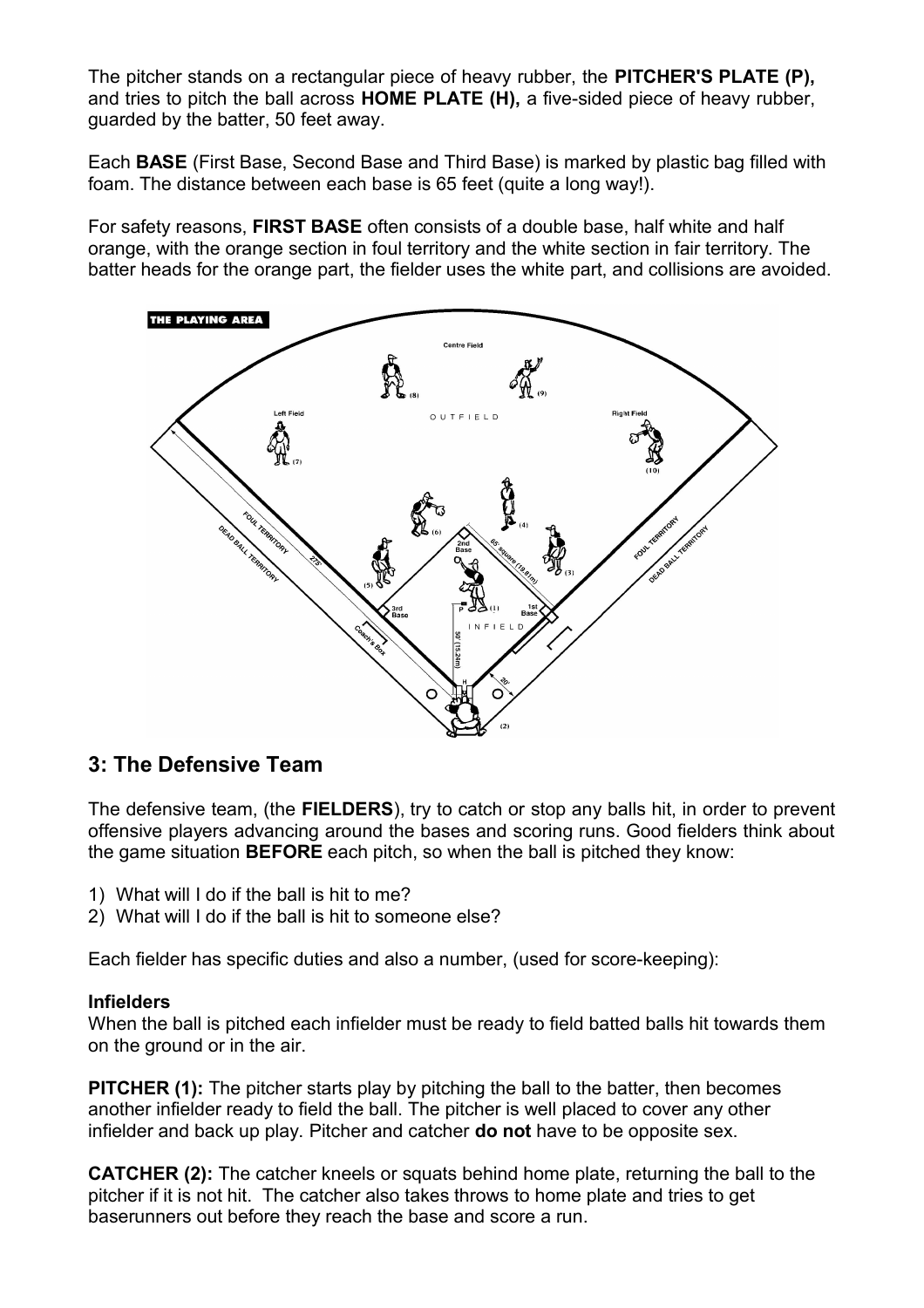The pitcher stands on a rectangular piece of heavy rubber, the **PITCHER'S PLATE (P),** and tries to pitch the ball across **HOME PLATE (H),** a five-sided piece of heavy rubber, guarded by the batter, 50 feet away.

Each **BASE** (First Base, Second Base and Third Base) is marked by plastic bag filled with foam. The distance between each base is 65 feet (quite a long way!).

For safety reasons, **FIRST BASE** often consists of a double base, half white and half orange, with the orange section in foul territory and the white section in fair territory. The batter heads for the orange part, the fielder uses the white part, and collisions are avoided.



## **3: The Defensive Team**

The defensive team, (the **FIELDERS**), try to catch or stop any balls hit, in order to prevent offensive players advancing around the bases and scoring runs. Good fielders think about the game situation **BEFORE** each pitch, so when the ball is pitched they know:

- 1) What will I do if the ball is hit to me?
- 2) What will I do if the ball is hit to someone else?

Each fielder has specific duties and also a number, (used for score-keeping):

#### **Infielders**

When the ball is pitched each infielder must be ready to field batted balls hit towards them on the ground or in the air.

**PITCHER (1):** The pitcher starts play by pitching the ball to the batter, then becomes another infielder ready to field the ball. The pitcher is well placed to cover any other infielder and back up play. Pitcher and catcher **do not** have to be opposite sex.

**CATCHER (2):** The catcher kneels or squats behind home plate, returning the ball to the pitcher if it is not hit. The catcher also takes throws to home plate and tries to get baserunners out before they reach the base and score a run.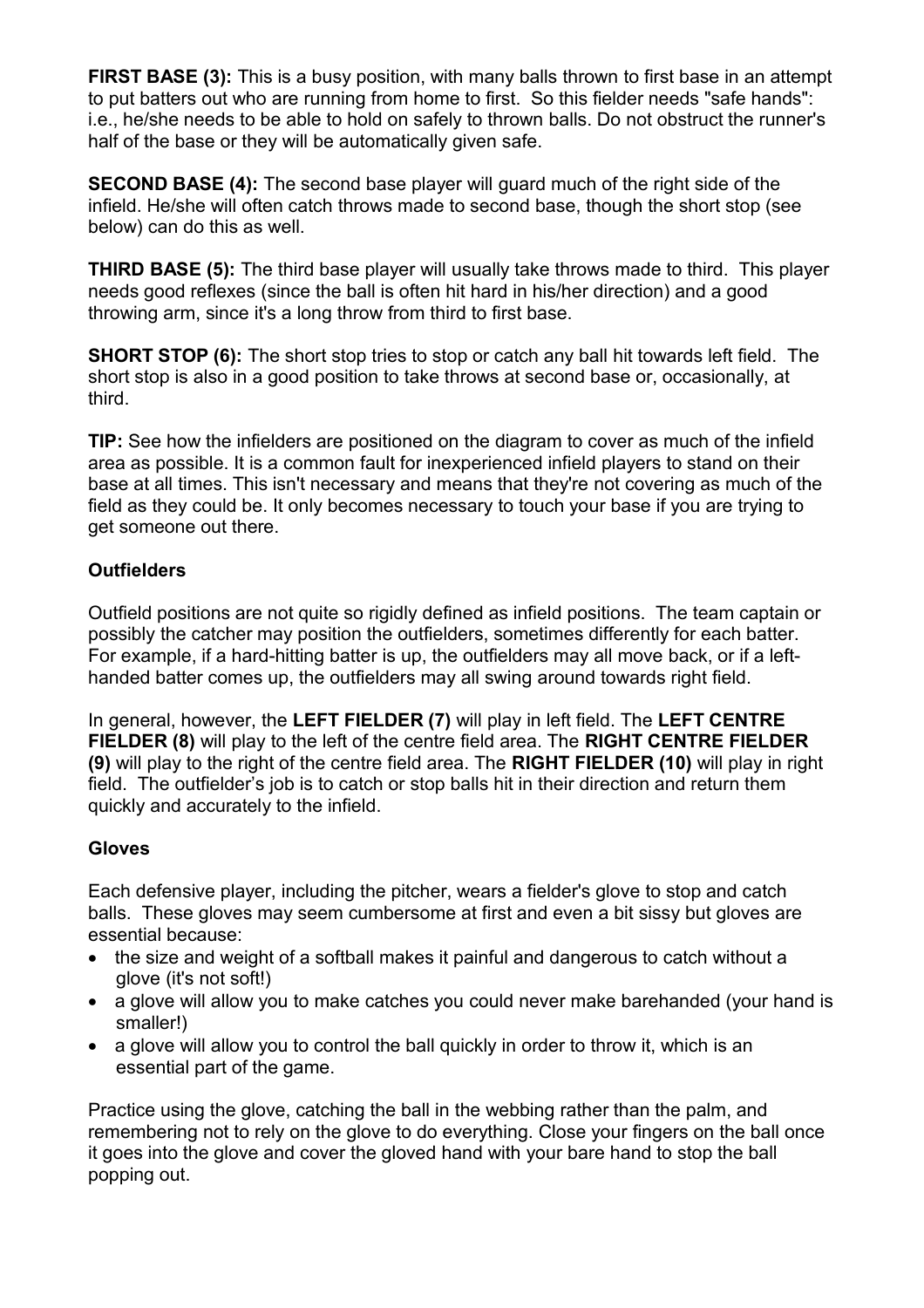**FIRST BASE (3):** This is a busy position, with many balls thrown to first base in an attempt to put batters out who are running from home to first. So this fielder needs "safe hands": i.e., he/she needs to be able to hold on safely to thrown balls. Do not obstruct the runner's half of the base or they will be automatically given safe.

**SECOND BASE (4):** The second base player will guard much of the right side of the infield. He/she will often catch throws made to second base, though the short stop (see below) can do this as well.

**THIRD BASE (5):** The third base player will usually take throws made to third. This player needs good reflexes (since the ball is often hit hard in his/her direction) and a good throwing arm, since it's a long throw from third to first base.

**SHORT STOP (6):** The short stop tries to stop or catch any ball hit towards left field. The short stop is also in a good position to take throws at second base or, occasionally, at third.

**TIP:** See how the infielders are positioned on the diagram to cover as much of the infield area as possible. It is a common fault for inexperienced infield players to stand on their base at all times.This isn't necessary and means that they're not covering as much of the field as they could be. It only becomes necessary to touch your base if you are trying to get someone out there.

### **Outfielders**

Outfield positions are not quite so rigidly defined as infield positions. The team captain or possibly the catcher may position the outfielders, sometimes differently for each batter. For example, if a hard-hitting batter is up, the outfielders may all move back, or if a left handed batter comes up, the outfielders may all swing around towards right field.

In general, however, the **LEFT FIELDER (7)** will play in left field. The **LEFT CENTRE FIELDER (8)** will play to the left of the centre field area. The **RIGHT CENTRE FIELDER (9)** will play to the right of the centre field area. The **RIGHT FIELDER (10)** will play in right field. The outfielder's job is to catch or stop balls hit in their direction and return them quickly and accurately to the infield.

#### **Gloves**

Each defensive player, including the pitcher, wears a fielder's glove to stop and catch balls. These gloves may seem cumbersome at first and even a bit sissy but gloves are essential because:

- the size and weight of a softball makes it painful and dangerous to catch without a glove (it's not soft!)
- a glove will allow you to make catches you could never make barehanded (your hand is smaller!)
- a glove will allow you to control the ball quickly in order to throw it, which is an essential part of the game.

Practice using the glove, catching the ball in the webbing rather than the palm, and remembering not to rely on the glove to do everything. Close your fingers on the ball once it goes into the glove and cover the gloved hand with your bare hand to stop the ball popping out.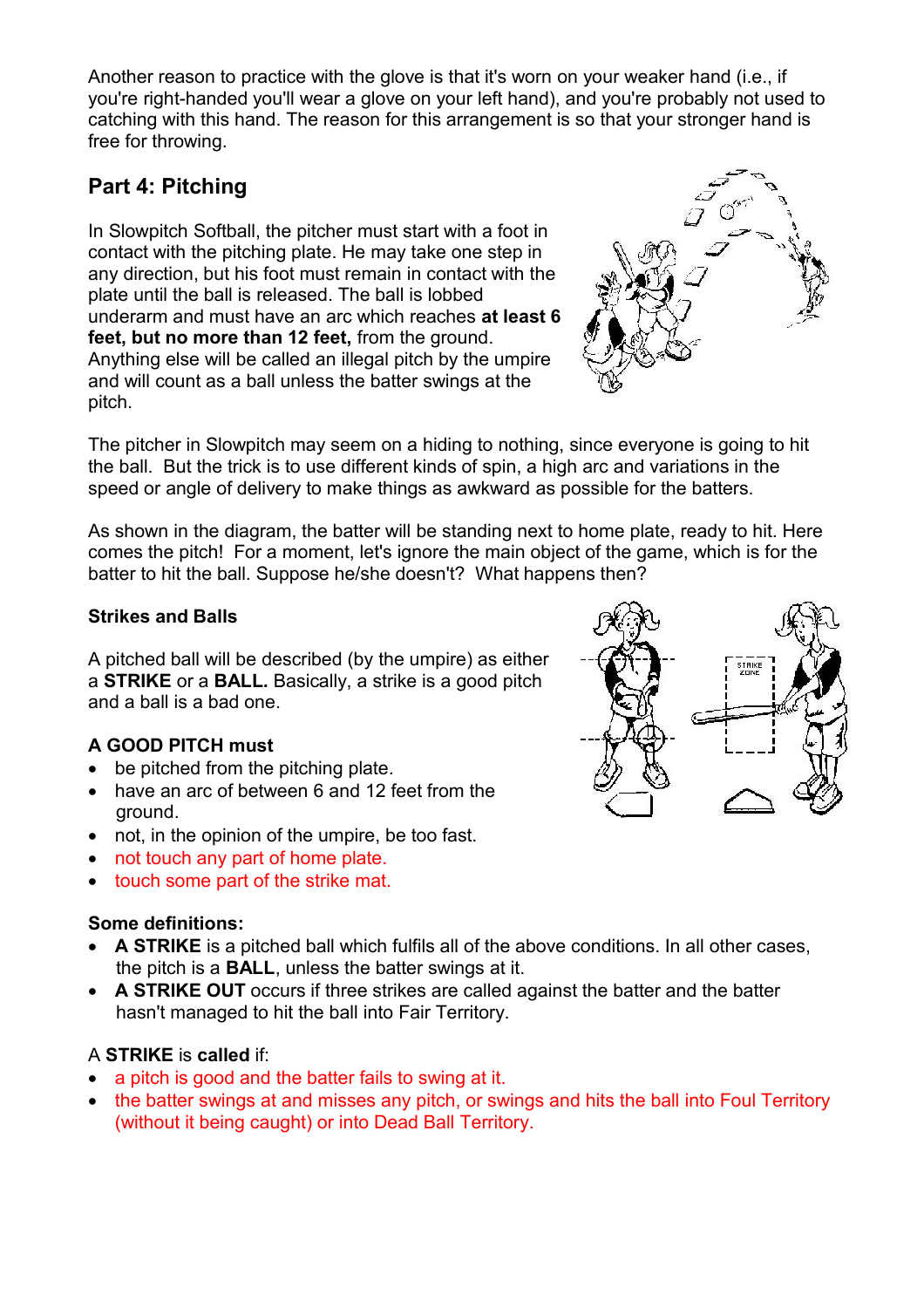Another reason to practice with the glove is that it's worn on your weaker hand (i.e., if you're right-handed you'll wear a glove on your left hand), and you're probably not used to catching with this hand. The reason for this arrangement is so that your stronger hand is free for throwing.

# **Part 4: Pitching**

In Slowpitch Softball, the pitcher must start with a foot in contact with the pitching plate. He may take one step in any direction, but his foot must remain in contact with the plate until the ball is released. The ball is lobbed underarm and must have an arc which reaches **at least 6 feet, but no more than 12 feet,** from the ground. Anything else will be called an illegal pitch by the umpire and will count as a ball unless the batter swings at the pitch.



The pitcher in Slowpitch may seem on a hiding to nothing, since everyone is going to hit the ball. But the trick is to use different kinds of spin, a high arc and variations in the speed or angle of delivery to make things as awkward as possible for the batters.

As shown in the diagram, the batter will be standing next to home plate, ready to hit. Here comes the pitch! For a moment, let's ignore the main object of the game, which is for the batter to hit the ball. Suppose he/she doesn't? What happens then?

## **Strikes and Balls**

A pitched ball will be described (by the umpire) as either A pitched ball will be described (by the umpire) as either the strike the strike and **STRIKE** or a **BALL.** Basically, a strike is a good pitch and a ball is a bad one.

## **A GOOD PITCH must**

- be pitched from the pitching plate.
- $\bullet$  have an arc of between 6 and 12 feet from the ground.
- not, in the opinion of the umpire, be too fast.
- not touch any part of home plate.
- touch some part of the strike mat.

### **Some definitions:**

- **A STRIKE** is a pitched ball which fulfils all of the above conditions. In all other cases, the pitch is a **BALL**, unless the batter swings at it.
- **A STRIKE OUT** occurs if three strikes are called against the batter and the batter hasn't managed to hit the ball into Fair Territory.

## A **STRIKE** is **called** if:

- a pitch is good and the batter fails to swing at it.
- the batter swings at and misses any pitch, or swings and hits the ball into Foul Territory (without it being caught) or into Dead Ball Territory.

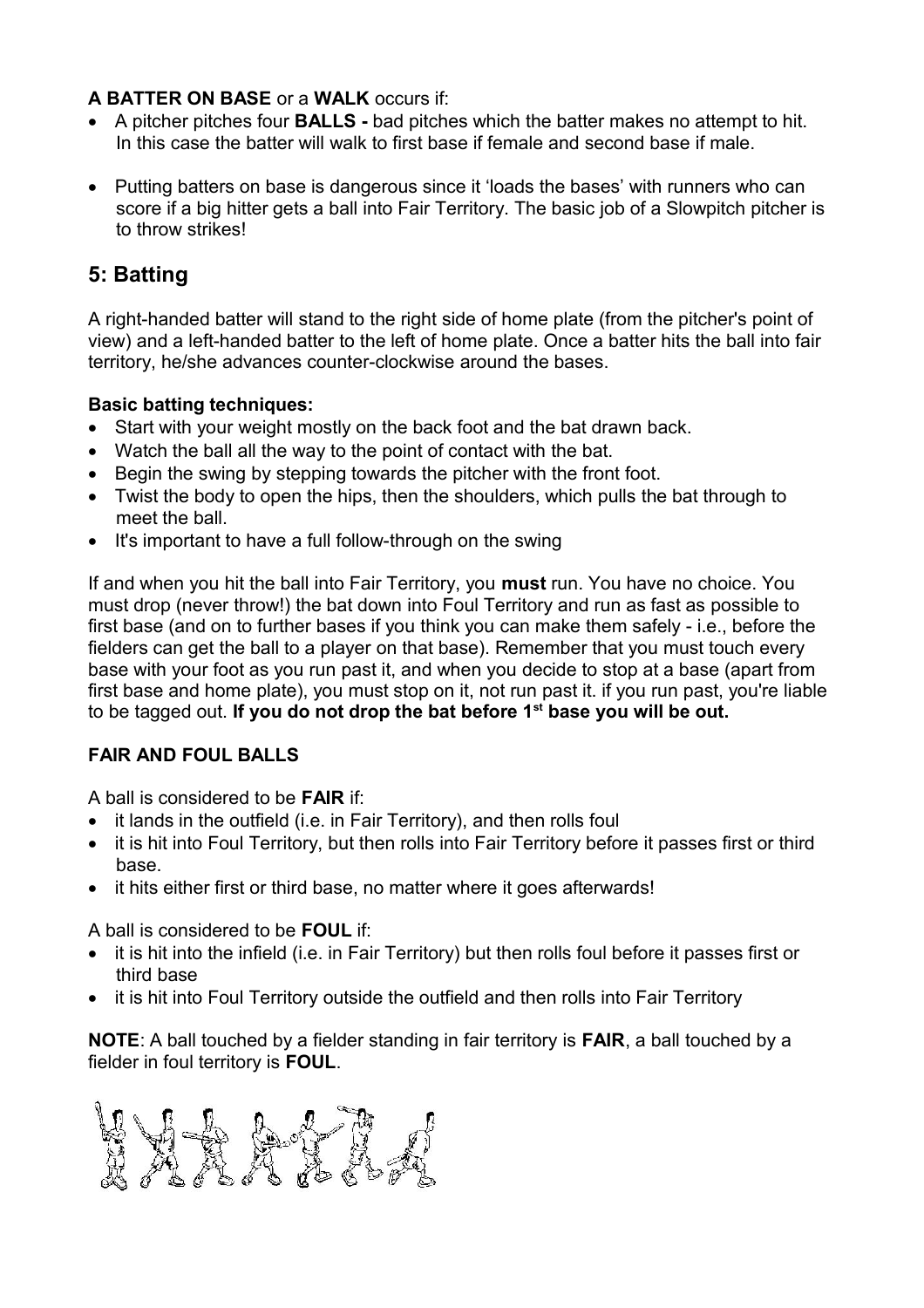## **A BATTER ON BASE** or a **WALK** occurs if:

- A pitcher pitches four **BALLS -** bad pitches which the batter makes no attempt to hit. In this case the batter will walk to first base if female and second base if male.
- Putting batters on base is dangerous since it 'loads the bases' with runners who can score if a big hitter gets a ball into Fair Territory. The basic job of a Slowpitch pitcher is to throw strikes!

# **5: Batting**

A right-handed batter will stand to the right side of home plate (from the pitcher's point of view) and a left-handed batter to the left of home plate. Once a batter hits the ball into fair territory, he/she advances counter-clockwise around the bases.

## **Basic batting techniques:**

- Start with your weight mostly on the back foot and the bat drawn back.
- Watch the ball all the way to the point of contact with the bat.
- Begin the swing by stepping towards the pitcher with the front foot.
- Twist the body to open the hips, then the shoulders, which pulls the bat through to meet the ball.
- It's important to have a full follow-through on the swing

If and when you hit the ball into Fair Territory, you **must** run. You have no choice. You must drop (never throw!) the bat down into Foul Territory and run as fast as possible to first base (and on to further bases if you think you can make them safely - i.e., before the fielders can get the ball to a player on that base). Remember that you must touch every base with your foot as you run past it, and when you decide to stop at a base (apart from first base and home plate), you must stop on it, not run past it. if you run past, you're liable to be tagged out.**If you do not drop the bat before 1 st base you will be out.**

## **FAIR AND FOUL BALLS**

A ball is considered to be **FAIR** if:

- it lands in the outfield (i.e. in Fair Territory), and then rolls foul
- it is hit into Foul Territory, but then rolls into Fair Territory before it passes first or third base.
- it hits either first or third base, no matter where it goes afterwards!

A ball is considered to be **FOUL** if:

- it is hit into the infield (i.e. in Fair Territory) but then rolls foul before it passes first or third base
- it is hit into Foul Territory outside the outfield and then rolls into Fair Territory

**NOTE**: A ball touched by a fielder standing in fair territory is **FAIR**, a ball touched by a fielder in foul territory is **FOUL**.

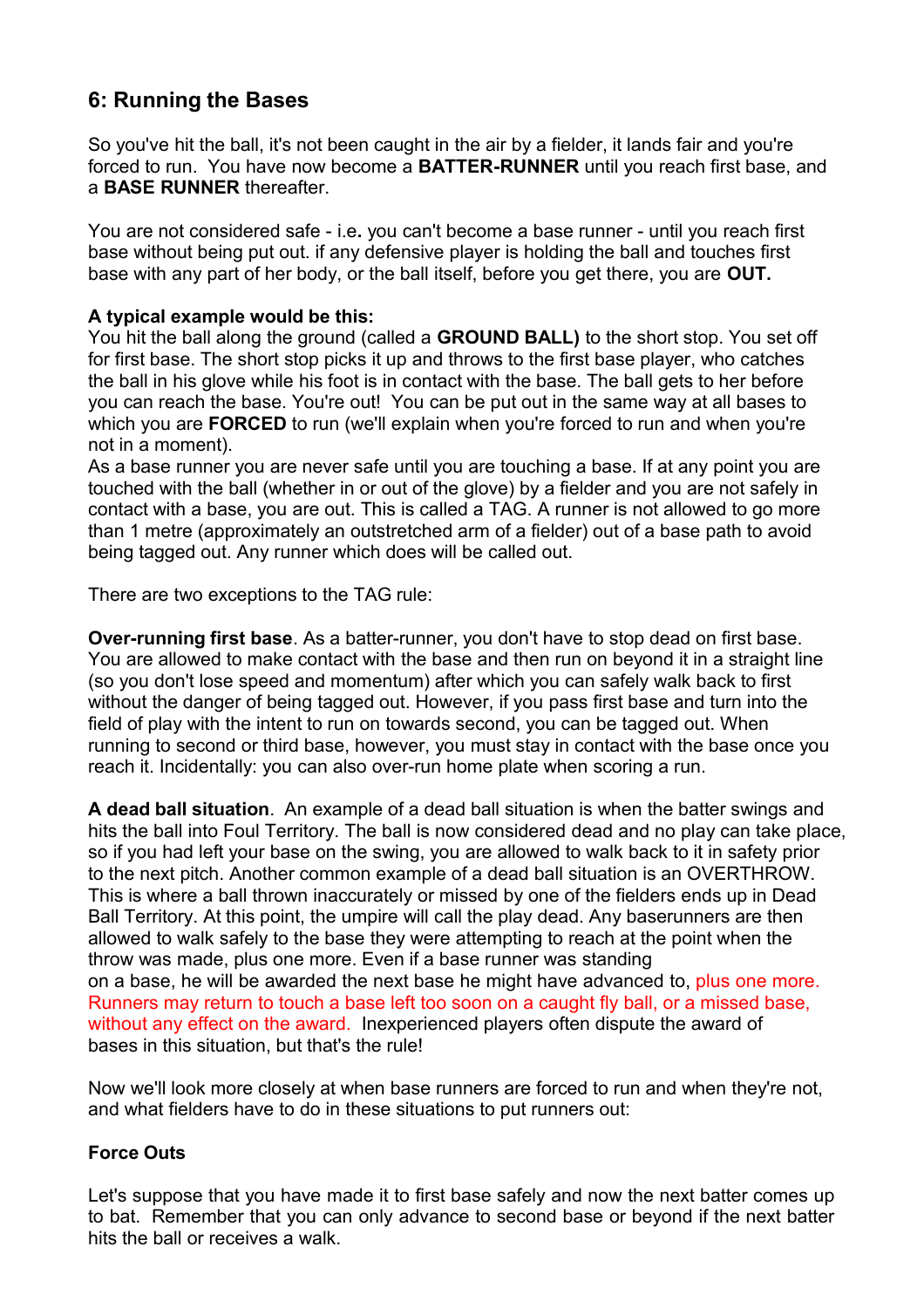# **6: Running the Bases**

So you've hit the ball, it's not been caught in the air by a fielder, it lands fair and you're forced to run. You have now become a **BATTER-RUNNER** until you reach first base, and a **BASE RUNNER** thereafter.

You are not considered safe - i.e**.** you can't become a base runner - untilyou reach first base without being put out. if any defensive player is holding the ball and touches first base with any part of her body, or the ball itself, before you get there, you are **OUT.**

### **A typical example would be this:**

You hit the ball along the ground (called a **GROUND BALL)** to the short stop. You set off for first base. The short stop picks it up and throws to the first base player, who catches the ball in his glove while his foot is in contact with the base. The ball gets to her before you can reach the base. You're out! You can be put out in the same way at all bases to which you are **FORCED** to run (we'll explain when you're forced to run and when you're

not in a moment).<br>As a base runner you are never safe until you are touching a base. If at any point you are touched with the ball (whether in or out of the glove) by a fielder and you are notsafely in contact with a base, you are out. This is called a TAG. A runner is not allowed to go more than 1 metre (approximately an outstretched arm of a fielder) out of a base path to avoid being tagged out. Any runner which does will be called out.

There are two exceptions to the TAG rule:

**Over-running first base**. As a batter-runner, you don't have to stop dead on first base. You are allowed to make contact with the base and then run on beyond it in a straight line (so you don't lose speed and momentum) after which you can safely walk back to first without the danger of being tagged out. However, if you pass first base and turn into the field of play with the intent to run on towards second, you can be tagged out.When running to second or third base, however, you must stay in contact with the base once you reach it. Incidentally: you can also over-run home plate when scoring a run.

**A dead ball situation**. An example of a dead ball situation iswhen the batter swings and hits the ball into Foul Territory. The ball is now considered dead and no play can take place, so if you had left your base on the swing, you are allowed to walk back to it in safety prior to the next pitch. Another common example of a dead ball situation is an OVERTHROW. This is where a ball thrown inaccurately or missed by one of the fielders ends up in Dead Ball Territory. At this point, the umpire will call the play dead. Any baserunners are then allowed to walk safely to the base they were attempting to reach at the point when the throw was made, plus one more. Even if a base runner was standing on a base, he will be awarded the next base he might have advanced to, plus one more. Runners may return to touch a base left too soon on a caught fly ball, or a missed base, without any effect on the award. Inexperienced players often dispute the award of bases in this situation, but that's the rule!

Now we'll look more closely at when base runners are forced to run and when they're not, and what fielders have to do in these situations to put runners out:

### **Force Outs**

Let's suppose that you have made it to first base safely and now the next batter comes up to bat. Remember that you can only advance to second base or beyond if the next batter hits the ball or receives a walk.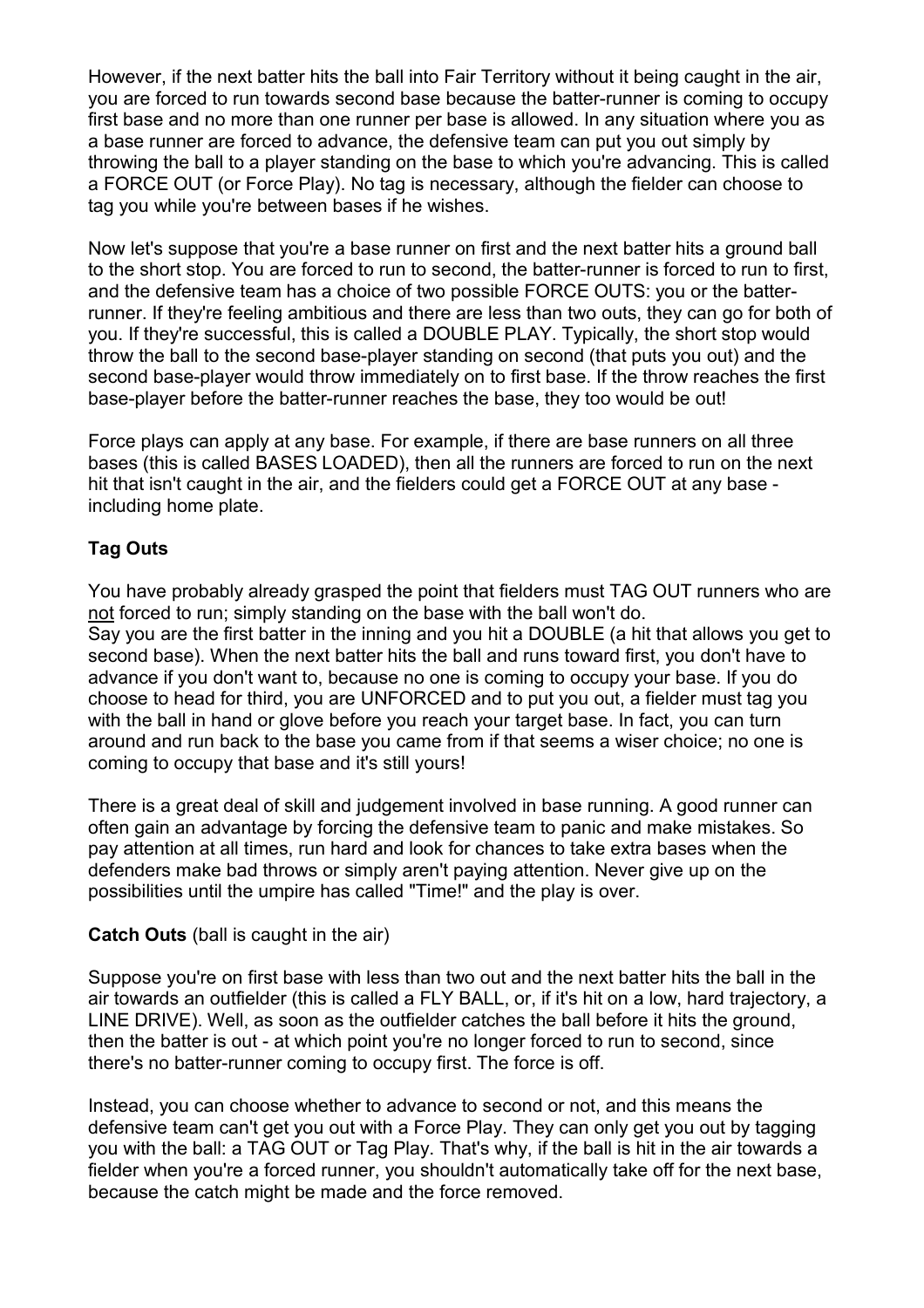However, if the next batter hits the ball into Fair Territory without it being caught in the air, you are forced to run towards second base because the batter-runner is coming to occupy first base and no more than one runner per base is allowed. In any situation where you as a base runner are forced to advance, the defensive team can put you out simply by throwing the ball to a player standing on the base to which you're advancing. This is called a FORCE OUT (or Force Play). No tag is necessary, although the fielder can choose to tag you while you're between bases if he wishes.

Now let's suppose that you're a base runner on first and the next batter hits a ground ball to the short stop. You are forced to run to second, the batter-runner is forced to run to first, and the defensive team has a choice of two possible FORCE OUTS: you or the batterrunner. If they're feeling ambitious and there are less than two outs, they can go for both of you. If they're successful, this is called a DOUBLE PLAY. Typically, the short stop would throw the ball to the second base-player standing on second (that puts you out) and the second base-player would throw immediately on to first base. If the throw reaches the first base-player before the batter-runner reaches the base, they too would be out!

Force plays can apply at any base. For example, if there are base runners on all three bases (this is called BASES LOADED), then all the runners are forced to run on the next hit that isn't caught in the air, and the fielders could get a FORCE OUT at any base including home plate.

## **Tag Outs**

You have probably already grasped the point that fielders must TAG OUT runners who are not forced to run; simply standing on the base with the ball won't do. Say you are the first batter in the inning and you hit a DOUBLE (a hit that allows you get to second base). When the next batter hits the ball and runs toward first, you don't have to advance if you don't want to, because no one is coming to occupy your base. If you do choose to head for third, you are UNFORCED and to put you out, a fielder must tag you with the ball in hand or glove before you reach your target base. In fact, you can turn around and run back to the base you came from if that seems a wiser choice; no one is coming to occupy that base and it's still yours!

There is a great deal of skill and judgement involved in base running. A good runner can often gain an advantage by forcing the defensive team to panic and make mistakes. So pay attention at all times, run hard and look for chances to take extra bases when the defenders make bad throws or simply aren't paying attention. Never give up on the possibilities until the umpire has called "Time!" and the play is over.

#### **Catch Outs** (ball is caught in the air)

Suppose you're on first base with less than two out and the next batter hits the ball in the air towards an outfielder (this is called a FLY BALL, or, if it's hit on a low, hard trajectory, a LINE DRIVE). Well, as soon as the outfielder catches the ball before it hits the ground, then the batter is out - at which point you're no longer forced to run to second, since there's no batter-runner coming to occupy first. The force is off.

Instead, you can choose whether to advance to second or not, and this means the defensive team can't get you out with a Force Play.They can only get you out by tagging you with the ball: a TAG OUT or Tag Play. That's why, if the ball is hit in the air towards a fielder when you're a forced runner, you shouldn't automatically take off for the next base, because the catch might be made and the force removed.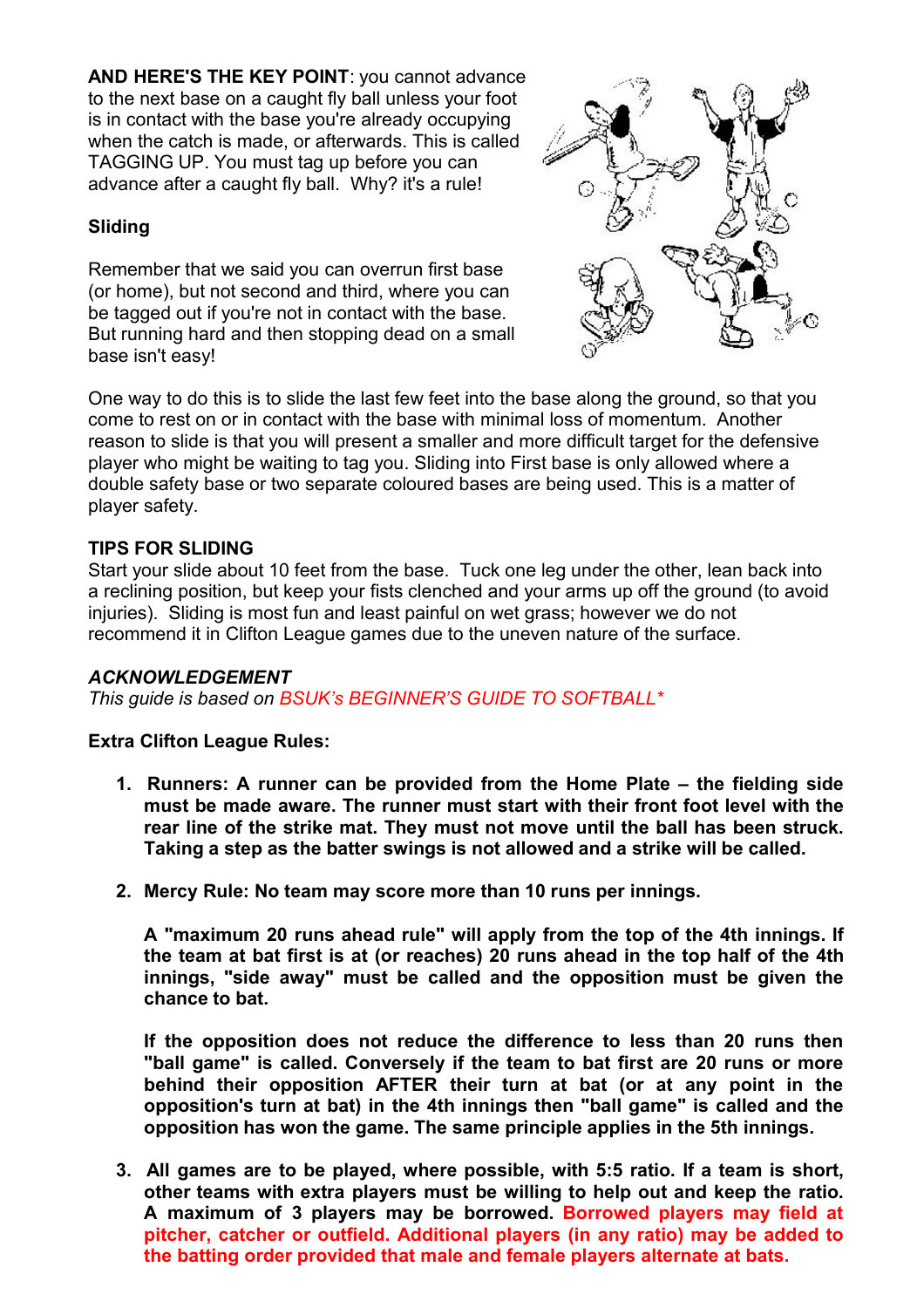**AND HERE'S THE KEY POINT**: you cannot advance to the next base on a caught fly ball unless your foot is in contact with the base you're already occupying when the catch is made, or afterwards. This is called TAGGING UP. You must tag up before you can advance after a caught fly ball. Why? it's a rule!

### **Sliding**

Remember that we said you can overrun first base (or home), but not second and third, where you can be tagged out if you're not in contact with the base. But running hard and then stopping dead on a small base isn't easy!



One way to do this is to slide the last few feet into the base along the ground, so that you come to rest on or in contact with the base with minimal loss of momentum. Another reason to slide is that you will present a smaller and more difficult target for the defensive player who might be waiting to tag you. Sliding into First base is only allowed where a double safety base or two separate coloured bases are being used. This is a matter of player safety.

### **TIPS FOR SLIDING**

Start your slide about 10 feet from the base. Tuck one leg under the other, lean back into a reclining position, but keep your fists clenched and your arms up off the ground (to avoid injuries). Sliding is most fun and least painful on wet grass; however we do not recommend it in Clifton League games due to the uneven nature of the surface.

#### *ACKNOWLEDGEMENT*

*This guide is based on BSUK's BEGINNER'S GUIDE TO SOFTBALL\**

#### **Extra Clifton League Rules:**

- **1. Runners: A runner can be provided from the Home Plate – the fielding side must be made aware. The runner must start with their front foot level with the rear line of the strike mat. They must not move until the ball has been struck. Taking a step as the batter swings is not allowed and a strike will be called.**
- **2. Mercy Rule: No team may score more than 10 runs per innings.**

**A "maximum 20 runs ahead rule"will apply from the top of the 4th innings. If the team at bat first is at (orreaches) 20 runs ahead in the top half of the 4th innings, "side away" must be called and the opposition must be given the chance to bat.**

**If the opposition does not reduce the difference to less than 20 runs then "ball game" is called. Conversely if the team to bat first are 20 runs or more behind their opposition AFTER their turn at bat (or at any point in the opposition's turn at bat) in the 4th innings then "ball game" is called and the opposition has won the game. The same principle applies in the 5th innings.**

**3. All games are to be played, where possible, with 5:5 ratio. If a team is short, other teams with extra players must be willing to help out and keep the ratio. A maximum of 3 players may be borrowed. Borrowed players may field at pitcher, catcher or outfield. Additional players (in any ratio) may be added to the batting order provided that male and female players alternate at bats.**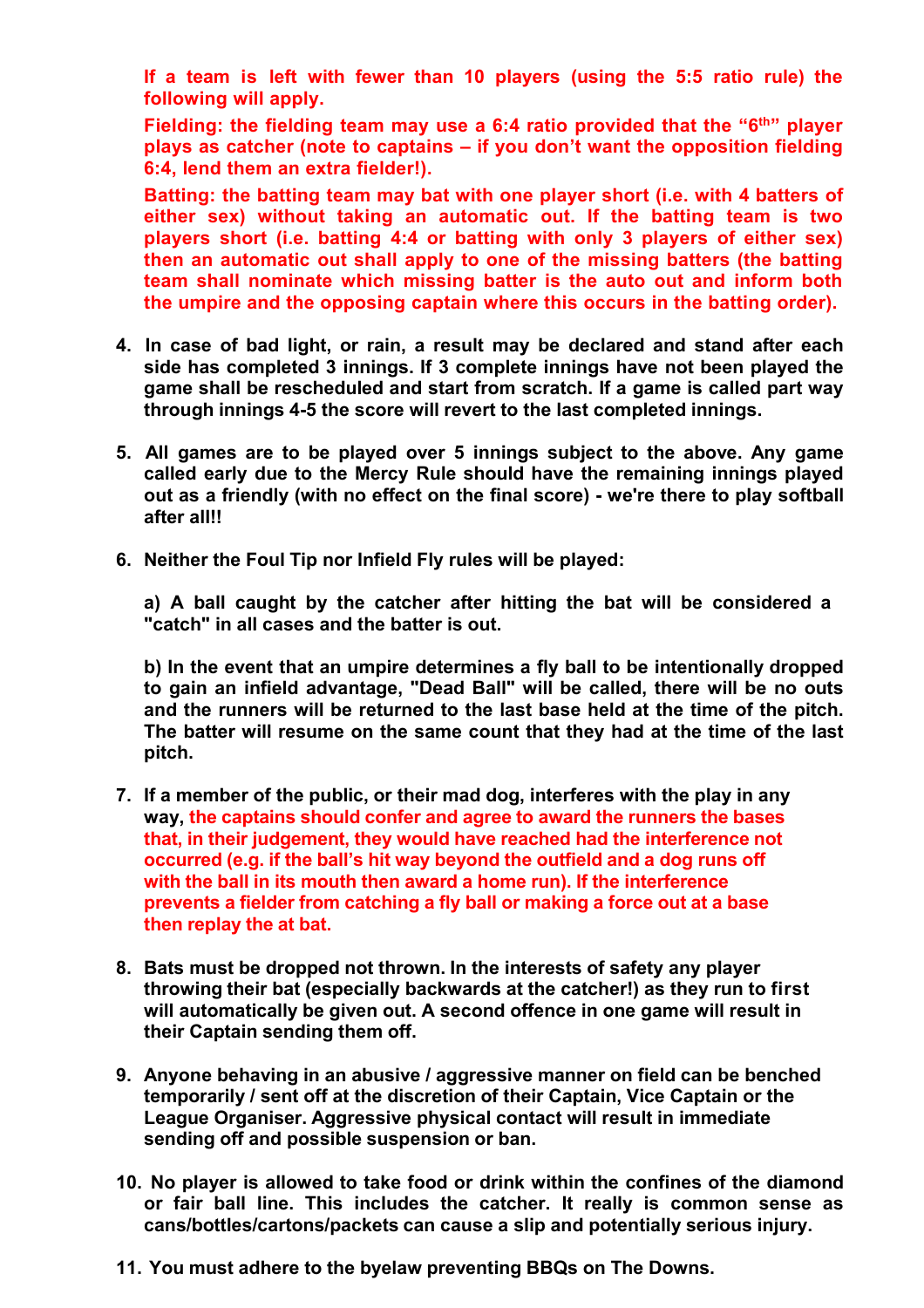**If a team is left with fewer than 10 players (using the 5:5 ratio rule) the following will apply.**

**Fielding: the fielding team may use a 6:4 ratio provided that the "6 th" player plays as catcher (note to captains – if you don't want the opposition fielding 6:4, lend them an extra fielder!).**

**Batting: the batting team may bat with one player short (i.e. with 4 batters of either sex) without taking an automatic out. If the batting team is two players short (i.e.batting 4:4 or batting with only 3 players of either sex) then an automatic out shall apply to one of the missing batters (the batting team shall nominate which missing batter is the auto out and inform both the umpire and the opposing captain where this occurs in the batting order).**

- **4. In case of bad light, or rain, a result may be declared and stand after each side has completed 3 innings. If 3 complete innings have not been played the game shall be rescheduled and start from scratch. If a game is called part way through innings 4-5 the score will revert to the last completed innings.**
- **5. All games are to be played over 5 innings subject to the above. Any game called early due to the Mercy Rule should have the remaining innings played out as a friendly (with no effect on the final score) - we're there to play softball after all!!**
- **6. Neither the Foul Tip nor Infield Fly rules will be played:**

**a) A ball caught by the catcher after hitting the bat will be considered a "catch" in all cases and the batter is out.**

**b) In the event that an umpire determines a fly ball to be intentionally dropped to gain an infield advantage, "Dead Ball" will be called, there will be no outs and the runners will be returned to the last base held at the time of the pitch. The batter will resume on the same count that they had at the time of the last pitch.**

- **7. If a member of the public, or their mad dog, interferes with the play in any way, the captains should confer and agree to award the runners the bases that, in their judgement, they would have reached had the interference not occurred (e.g. if the ball's hit way beyond the outfield and a dog runs off with the ball in its mouth then award a home run).If the interference prevents a fielderfrom catching a fly ball ormaking a force outat a base then replay the at bat.**
- **8. Bats must be dropped not thrown. In the interests of safety any player throwing their bat (especially backwards at the catcher!) as they run to first will automatically be given out. A second offence in one game will result in their Captain sending them off.**
- **9. Anyone behaving in an abusive / aggressive manner on field can be benched temporarily / sent off at the discretion of their Captain, Vice Captain or the League Organiser.Aggressive physical contact will result in immediate sending off and possible suspension or ban.**
- **10. No player is allowed to take food or drink within the confines of the diamond or fair ball line. This includes the catcher. It really is common sense as cans/bottles/cartons/packets can cause a slip and potentially serious injury.**
- **11. You must adhere to the byelaw preventing BBQs on The Downs.**